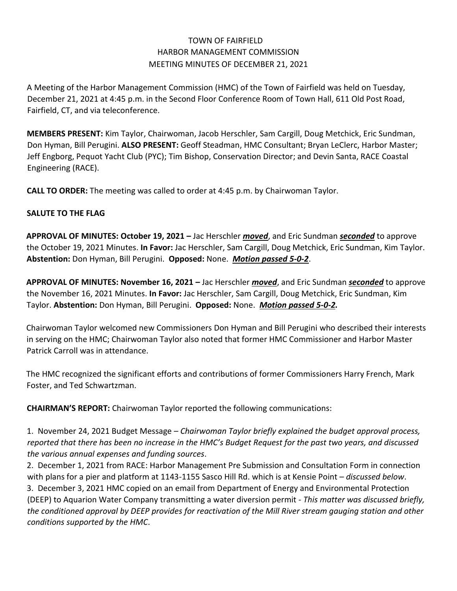## TOWN OF FAIRFIELD HARBOR MANAGEMENT COMMISSION MEETING MINUTES OF DECEMBER 21, 2021

A Meeting of the Harbor Management Commission (HMC) of the Town of Fairfield was held on Tuesday, December 21, 2021 at 4:45 p.m. in the Second Floor Conference Room of Town Hall, 611 Old Post Road, Fairfield, CT, and via teleconference.

**MEMBERS PRESENT:** Kim Taylor, Chairwoman, Jacob Herschler, Sam Cargill, Doug Metchick, Eric Sundman, Don Hyman, Bill Perugini. **ALSO PRESENT:** Geoff Steadman, HMC Consultant; Bryan LeClerc, Harbor Master; Jeff Engborg, Pequot Yacht Club (PYC); Tim Bishop, Conservation Director; and Devin Santa, RACE Coastal Engineering (RACE).

**CALL TO ORDER:** The meeting was called to order at 4:45 p.m. by Chairwoman Taylor.

## **SALUTE TO THE FLAG**

**APPROVAL OF MINUTES: October 19, 2021 –** Jac Herschler *moved*, and Eric Sundman *seconded* to approve the October 19, 2021 Minutes. **In Favor:** Jac Herschler, Sam Cargill, Doug Metchick, Eric Sundman, Kim Taylor. **Abstention:** Don Hyman, Bill Perugini. **Opposed:** None. *Motion passed 5-0-2*.

**APPROVAL OF MINUTES: November 16, 2021 –** Jac Herschler *moved*, and Eric Sundman *seconded* to approve the November 16, 2021 Minutes. **In Favor:** Jac Herschler, Sam Cargill, Doug Metchick, Eric Sundman, Kim Taylor. **Abstention:** Don Hyman, Bill Perugini. **Opposed:** None. *Motion passed 5-0-2.*

Chairwoman Taylor welcomed new Commissioners Don Hyman and Bill Perugini who described their interests in serving on the HMC; Chairwoman Taylor also noted that former HMC Commissioner and Harbor Master Patrick Carroll was in attendance.

The HMC recognized the significant efforts and contributions of former Commissioners Harry French, Mark Foster, and Ted Schwartzman.

**CHAIRMAN'S REPORT:** Chairwoman Taylor reported the following communications:

1. November 24, 2021 Budget Message – *Chairwoman Taylor briefly explained the budget approval process, reported that there has been no increase in the HMC's Budget Request for the past two years, and discussed the various annual expenses and funding sources*.

2. December 1, 2021 from RACE: Harbor Management Pre Submission and Consultation Form in connection with plans for a pier and platform at 1143-1155 Sasco Hill Rd. which is at Kensie Point – *discussed below*. 3. December 3, 2021 HMC copied on an email from Department of Energy and Environmental Protection (DEEP) to Aquarion Water Company transmitting a water diversion permit - *This matter was discussed briefly, the conditioned approval by DEEP provides for reactivation of the Mill River stream gauging station and other conditions supported by the HMC*.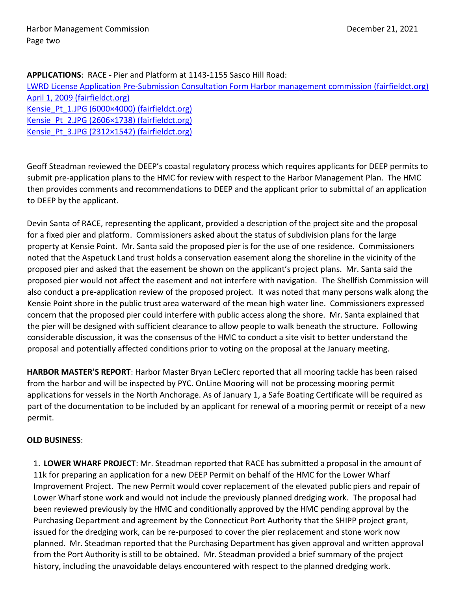**APPLICATIONS**: RACE - Pier and Platform at 1143-1155 Sasco Hill Road:

[LWRD License Application Pre-Submission Consultation Form Harbor management commission \(fairfieldct.org\)](https://www.fairfieldct.org/filestorage/10736/12067/17037/66861/94822/114227/_Harbor_Management_Commission_Consultation_Package_-_1143-1155_Sasco_Hill_Road_-_12-01-2021.pdf) [April 1, 2009 \(fairfieldct.org\)](https://www.fairfieldct.org/filestorage/10736/12067/17037/66861/94822/114227/Jack011812-_HMC_LTR_TO_DEEP.pdf) Kensie Pt 1.JPG (6000×4000) (fairfieldct.org) Kensie Pt 2.JPG (2606×1738) (fairfieldct.org) Kensie Pt 3.JPG (2312×1542) (fairfieldct.org)

Geoff Steadman reviewed the DEEP's coastal regulatory process which requires applicants for DEEP permits to submit pre-application plans to the HMC for review with respect to the Harbor Management Plan. The HMC then provides comments and recommendations to DEEP and the applicant prior to submittal of an application to DEEP by the applicant.

Devin Santa of RACE, representing the applicant, provided a description of the project site and the proposal for a fixed pier and platform. Commissioners asked about the status of subdivision plans for the large property at Kensie Point. Mr. Santa said the proposed pier is for the use of one residence. Commissioners noted that the Aspetuck Land trust holds a conservation easement along the shoreline in the vicinity of the proposed pier and asked that the easement be shown on the applicant's project plans. Mr. Santa said the proposed pier would not affect the easement and not interfere with navigation. The Shellfish Commission will also conduct a pre-application review of the proposed project. It was noted that many persons walk along the Kensie Point shore in the public trust area waterward of the mean high water line. Commissioners expressed concern that the proposed pier could interfere with public access along the shore. Mr. Santa explained that the pier will be designed with sufficient clearance to allow people to walk beneath the structure. Following considerable discussion, it was the consensus of the HMC to conduct a site visit to better understand the proposal and potentially affected conditions prior to voting on the proposal at the January meeting.

**HARBOR MASTER'S REPORT**: Harbor Master Bryan LeClerc reported that all mooring tackle has been raised from the harbor and will be inspected by PYC. OnLine Mooring will not be processing mooring permit applications for vessels in the North Anchorage. As of January 1, a Safe Boating Certificate will be required as part of the documentation to be included by an applicant for renewal of a mooring permit or receipt of a new permit.

## **OLD BUSINESS**:

1. **LOWER WHARF PROJECT**: Mr. Steadman reported that RACE has submitted a proposal in the amount of 11k for preparing an application for a new DEEP Permit on behalf of the HMC for the Lower Wharf Improvement Project. The new Permit would cover replacement of the elevated public piers and repair of Lower Wharf stone work and would not include the previously planned dredging work. The proposal had been reviewed previously by the HMC and conditionally approved by the HMC pending approval by the Purchasing Department and agreement by the Connecticut Port Authority that the SHIPP project grant, issued for the dredging work, can be re-purposed to cover the pier replacement and stone work now planned. Mr. Steadman reported that the Purchasing Department has given approval and written approval from the Port Authority is still to be obtained. Mr. Steadman provided a brief summary of the project history, including the unavoidable delays encountered with respect to the planned dredging work.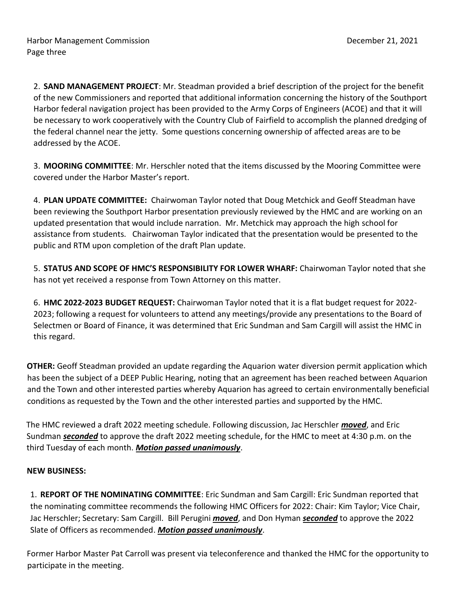2. **SAND MANAGEMENT PROJECT**: Mr. Steadman provided a brief description of the project for the benefit of the new Commissioners and reported that additional information concerning the history of the Southport Harbor federal navigation project has been provided to the Army Corps of Engineers (ACOE) and that it will be necessary to work cooperatively with the Country Club of Fairfield to accomplish the planned dredging of the federal channel near the jetty. Some questions concerning ownership of affected areas are to be addressed by the ACOE.

3. **MOORING COMMITTEE**: Mr. Herschler noted that the items discussed by the Mooring Committee were covered under the Harbor Master's report.

4. **PLAN UPDATE COMMITTEE:** Chairwoman Taylor noted that Doug Metchick and Geoff Steadman have been reviewing the Southport Harbor presentation previously reviewed by the HMC and are working on an updated presentation that would include narration. Mr. Metchick may approach the high school for assistance from students. Chairwoman Taylor indicated that the presentation would be presented to the public and RTM upon completion of the draft Plan update.

5. **STATUS AND SCOPE OF HMC'S RESPONSIBILITY FOR LOWER WHARF:** Chairwoman Taylor noted that she has not yet received a response from Town Attorney on this matter.

6. **HMC 2022-2023 BUDGET REQUEST:** Chairwoman Taylor noted that it is a flat budget request for 2022- 2023; following a request for volunteers to attend any meetings/provide any presentations to the Board of Selectmen or Board of Finance, it was determined that Eric Sundman and Sam Cargill will assist the HMC in this regard.

**OTHER:** Geoff Steadman provided an update regarding the Aquarion water diversion permit application which has been the subject of a DEEP Public Hearing, noting that an agreement has been reached between Aquarion and the Town and other interested parties whereby Aquarion has agreed to certain environmentally beneficial conditions as requested by the Town and the other interested parties and supported by the HMC.

The HMC reviewed a draft 2022 meeting schedule. Following discussion, Jac Herschler *moved*, and Eric Sundman *seconded* to approve the draft 2022 meeting schedule, for the HMC to meet at 4:30 p.m. on the third Tuesday of each month. *Motion passed unanimously*.

## **NEW BUSINESS:**

1. **REPORT OF THE NOMINATING COMMITTEE**: Eric Sundman and Sam Cargill: Eric Sundman reported that the nominating committee recommends the following HMC Officers for 2022: Chair: Kim Taylor; Vice Chair, Jac Herschler; Secretary: Sam Cargill. Bill Perugini *moved*, and Don Hyman *seconded* to approve the 2022 Slate of Officers as recommended. *Motion passed unanimously*.

Former Harbor Master Pat Carroll was present via teleconference and thanked the HMC for the opportunity to participate in the meeting.